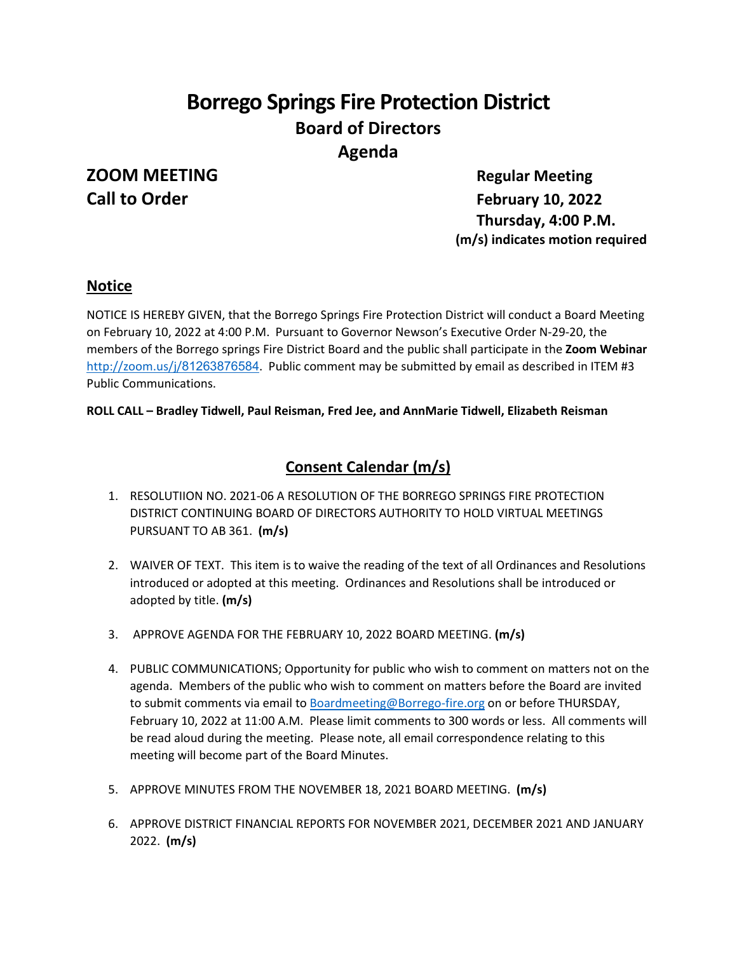# **Borrego Springs Fire Protection District Board of Directors Agenda**

# **ZOOM MEETING Regular Meeting**

**Call to Order February 10, 2022 Thursday, 4:00 P.M. (m/s) indicates motion required**

# **Notice**

NOTICE IS HEREBY GIVEN, that the Borrego Springs Fire Protection District will conduct a Board Meeting on February 10, 2022 at 4:00 P.M. Pursuant to Governor Newson's Executive Order N-29-20, the members of the Borrego springs Fire District Board and the public shall participate in the **Zoom Webinar**  [http://zoom.us/j/](http://zoom.us/j/81263876584)81263876584. Public comment may be submitted by email as described in ITEM #3 Public Communications.

#### **ROLL CALL – Bradley Tidwell, Paul Reisman, Fred Jee, and AnnMarie Tidwell, Elizabeth Reisman**

# **Consent Calendar (m/s)**

- 1. RESOLUTIION NO. 2021-06 A RESOLUTION OF THE BORREGO SPRINGS FIRE PROTECTION DISTRICT CONTINUING BOARD OF DIRECTORS AUTHORITY TO HOLD VIRTUAL MEETINGS PURSUANT TO AB 361. **(m/s)**
- 2. WAIVER OF TEXT. This item is to waive the reading of the text of all Ordinances and Resolutions introduced or adopted at this meeting. Ordinances and Resolutions shall be introduced or adopted by title. **(m/s)**
- 3. APPROVE AGENDA FOR THE FEBRUARY 10, 2022 BOARD MEETING. **(m/s)**
- 4. PUBLIC COMMUNICATIONS; Opportunity for public who wish to comment on matters not on the agenda. Members of the public who wish to comment on matters before the Board are invited to submit comments via email to [Boardmeeting@Borrego-fire.org](mailto:Boardmeeting@Borrego-fire.org) on or before THURSDAY, February 10, 2022 at 11:00 A.M. Please limit comments to 300 words or less. All comments will be read aloud during the meeting. Please note, all email correspondence relating to this meeting will become part of the Board Minutes.
- 5. APPROVE MINUTES FROM THE NOVEMBER 18, 2021 BOARD MEETING. **(m/s)**
- 6. APPROVE DISTRICT FINANCIAL REPORTS FOR NOVEMBER 2021, DECEMBER 2021 AND JANUARY 2022. **(m/s)**